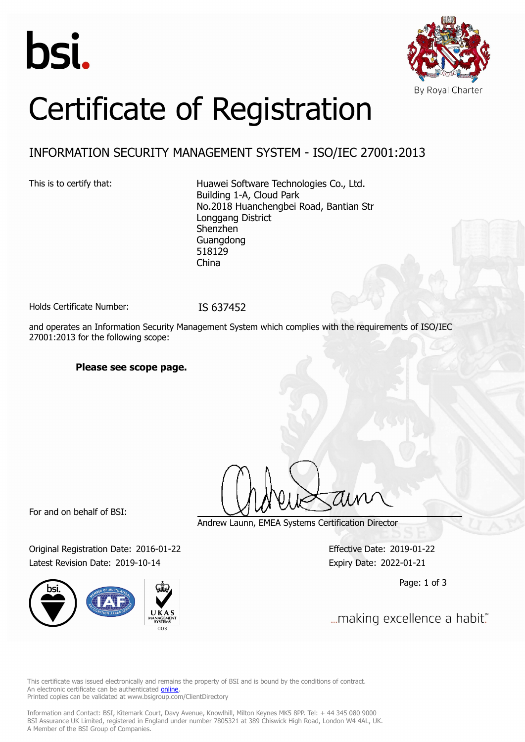



# Certificate of Registration

### INFORMATION SECURITY MANAGEMENT SYSTEM - ISO/IEC 27001:2013

This is to certify that: Huawei Software Technologies Co., Ltd. Building 1-A, Cloud Park No.2018 Huanchengbei Road, Bantian Str Longgang District Shenzhen Guangdong 518129 China

Holds Certificate Number: IS 637452

and operates an Information Security Management System which complies with the requirements of ISO/IEC 27001:2013 for the following scope:

### **Please see scope page.**

For and on behalf of BSI:

Original Registration Date: 2016-01-22 Effective Date: 2019-01-22 Latest Revision Date: 2019-10-14 Expiry Date: 2022-01-21



Andrew Launn, EMEA Systems Certification Director

Page: 1 of 3

... making excellence a habit."

This certificate was issued electronically and remains the property of BSI and is bound by the conditions of contract. An electronic certificate can be authenticated **[online](https://pgplus.bsigroup.com/CertificateValidation/CertificateValidator.aspx?CertificateNumber=IS+637452&ReIssueDate=14%2f10%2f2019&Template=uk)**. Printed copies can be validated at www.bsigroup.com/ClientDirectory

Information and Contact: BSI, Kitemark Court, Davy Avenue, Knowlhill, Milton Keynes MK5 8PP. Tel: + 44 345 080 9000 BSI Assurance UK Limited, registered in England under number 7805321 at 389 Chiswick High Road, London W4 4AL, UK. A Member of the BSI Group of Companies.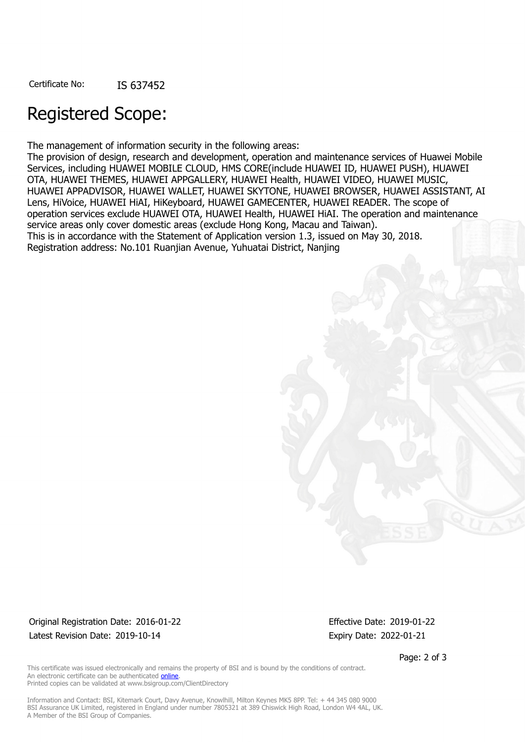## Registered Scope:

The management of information security in the following areas:

The provision of design, research and development, operation and maintenance services of Huawei Mobile Services, including HUAWEI MOBILE CLOUD, HMS CORE(include HUAWEI ID, HUAWEI PUSH), HUAWEI OTA, HUAWEI THEMES, HUAWEI APPGALLERY, HUAWEI Health, HUAWEI VIDEO, HUAWEI MUSIC, HUAWEI APPADVISOR, HUAWEI WALLET, HUAWEI SKYTONE, HUAWEI BROWSER, HUAWEI ASSISTANT, AI Lens, HiVoice, HUAWEI HiAI, HiKeyboard, HUAWEI GAMECENTER, HUAWEI READER. The scope of operation services exclude HUAWEI OTA, HUAWEI Health, HUAWEI HiAI. The operation and maintenance service areas only cover domestic areas (exclude Hong Kong, Macau and Taiwan). This is in accordance with the Statement of Application version 1.3, issued on May 30, 2018. Registration address: No.101 Ruanjian Avenue, Yuhuatai District, Nanjing

Original Registration Date: 2016-01-22 Effective Date: 2019-01-22 Latest Revision Date: 2019-10-14 **Expiry Date: 2022-01-21** Expiry Date: 2022-01-21

Page: 2 of 3

This certificate was issued electronically and remains the property of BSI and is bound by the conditions of contract. An electronic certificate can be authenticated [online](https://pgplus.bsigroup.com/CertificateValidation/CertificateValidator.aspx?CertificateNumber=IS+637452&ReIssueDate=14%2f10%2f2019&Template=uk). Printed copies can be validated at www.bsigroup.com/ClientDirectory

Information and Contact: BSI, Kitemark Court, Davy Avenue, Knowlhill, Milton Keynes MK5 8PP. Tel: + 44 345 080 9000 BSI Assurance UK Limited, registered in England under number 7805321 at 389 Chiswick High Road, London W4 4AL, UK. A Member of the BSI Group of Companies.